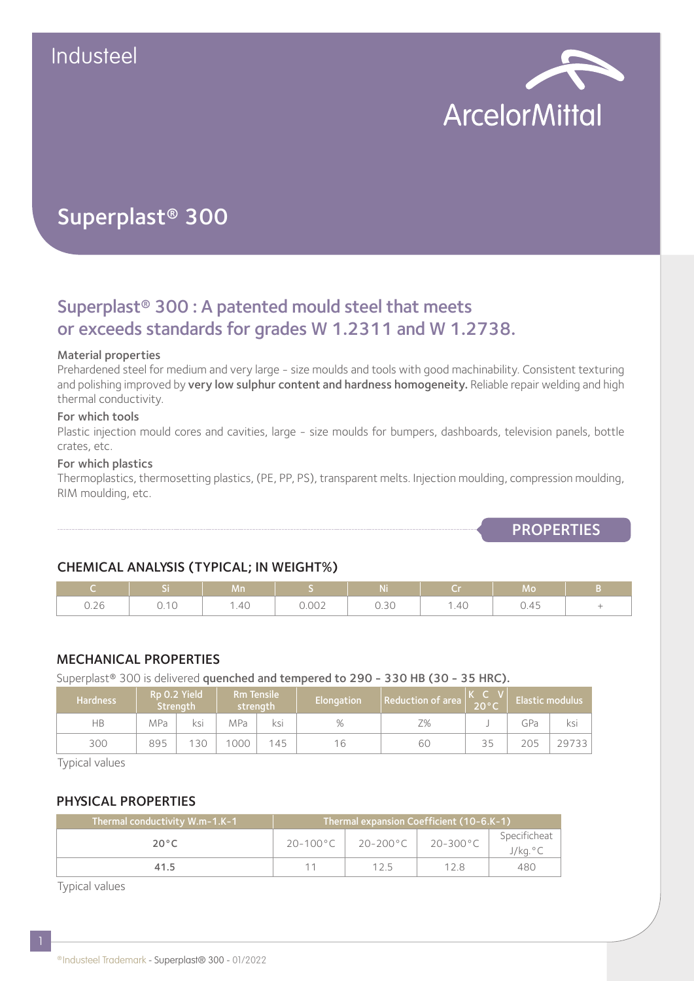

# Superplast® 300

## Superplast® 300 : A patented mould steel that meets or exceeds standards for grades W 1.2311 and W 1.2738.

#### Material properties

Prehardened steel for medium and very large - size moulds and tools with good machinability. Consistent texturing and polishing improved by very low sulphur content and hardness homogeneity. Reliable repair welding and high thermal conductivity.

#### For which tools

Plastic injection mould cores and cavities, large - size moulds for bumpers, dashboards, television panels, bottle crates, etc.

#### For which plastics

Thermoplastics, thermosetting plastics, (PE, PP, PS), transparent melts. Injection moulding, compression moulding, RIM moulding, etc.

**PROPERTIES** 

## CHEMICAL ANALYSIS (TYPICAL; IN WEIGHT%)

|      |                         | Mn   |       | <b>Ni</b> | ∴ Cr i | Mo   |   |
|------|-------------------------|------|-------|-----------|--------|------|---|
| 0.26 | .4 <sup>c</sup><br>∪.⊥∪ | 1.40 | 0.002 | 0.30      | 1.40   | 0.45 | - |

### MECHANICAL PROPERTIES

Superplast<sup>®</sup> 300 is delivered quenched and tempered to 290 - 330 HB (30 - 35 HRC).

| <b>Hardness</b> | Rp 0.2 Yield<br>Strenath |     | <b>Rm Tensile</b><br>strenath |     | Elongation | Reduction of area |    | <b>Elastic modulus</b> |       |
|-----------------|--------------------------|-----|-------------------------------|-----|------------|-------------------|----|------------------------|-------|
| НB              | MPa                      | ksi | MPa                           | KS  | %          | Z%                |    | GPa                    | ksi   |
| 300             | 895                      | 130 | 1000                          | 145 | 16         | 60                | 35 | 205                    | 29733 |

Typical values

### PHYSICAL PROPERTIES

| Thermal conductivity W.m-1.K-1 | Thermal expansion Coefficient (10-6.K-1) |          |                    |                         |  |  |
|--------------------------------|------------------------------------------|----------|--------------------|-------------------------|--|--|
| $20^{\circ}$ C                 | $20 - 100^{\circ}$ C                     | 20-200°C | $20-300^{\circ}$ C | Specificheat<br>J/kg.°C |  |  |
| 41.5                           |                                          | 125      | 128                | 480                     |  |  |

Typical values